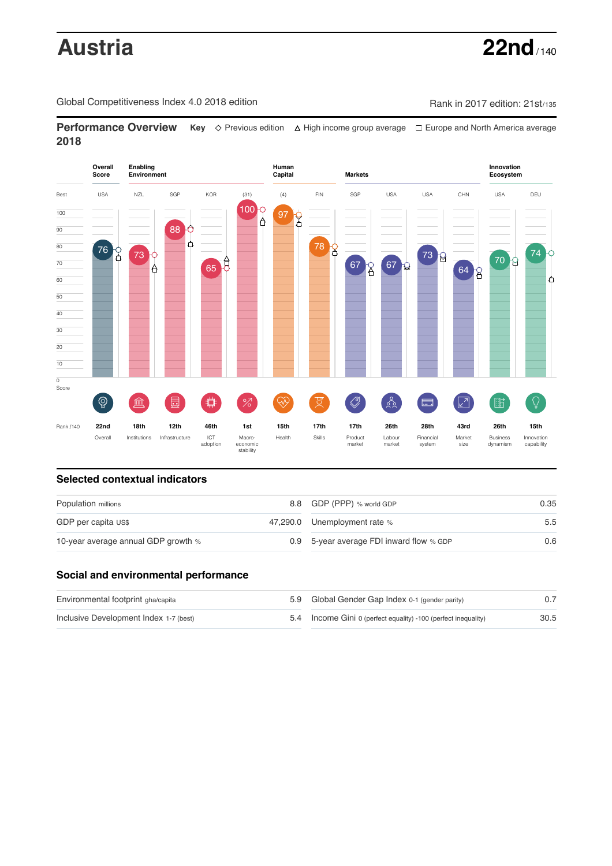# **Austria 22nd** / 140

Global Competitiveness Index 4.0 2018 edition Company Rank in 2017 edition: 21st/135

**Performance Overview** Key  $\Diamond$  Previous edition ∆ High income group average  $\Box$  Europe and North America average **2018**



# **Selected contextual indicators**

| Population millions                 |  | 8.8 GDP (PPP) % world GDP                | 0.35 |  |
|-------------------------------------|--|------------------------------------------|------|--|
| GDP per capita US\$                 |  | 47,290.0 Unemployment rate %             | 5.5  |  |
| 10-year average annual GDP growth % |  | 0.9 5-year average FDI inward flow % GDP | 0.6  |  |

# **Social and environmental performance**

| Environmental footprint gha/capita     | 5.9 Global Gender Gap Index 0-1 (gender parity)                |      |
|----------------------------------------|----------------------------------------------------------------|------|
| Inclusive Development Index 1-7 (best) | 5.4 Income Gini 0 (perfect equality) -100 (perfect inequality) | 30.5 |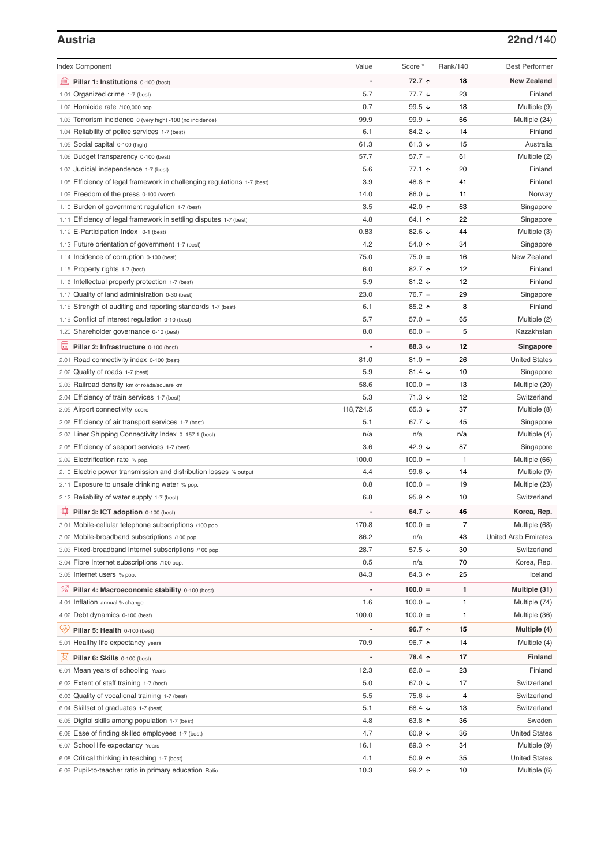### **Austria 22nd**/140

| <b>Index Component</b>                                                                                  | Value       | Score *              | Rank/140       | <b>Best Performer</b>                |
|---------------------------------------------------------------------------------------------------------|-------------|----------------------|----------------|--------------------------------------|
| 無<br>Pillar 1: Institutions 0-100 (best)                                                                |             | 72.7 ↑               | 18             | <b>New Zealand</b>                   |
| 1.01 Organized crime 1-7 (best)                                                                         | 5.7         | $77.7 \;$ $\star$    | 23             | Finland                              |
| 1.02 Homicide rate /100,000 pop.                                                                        | 0.7         | 99.5 $\sqrt{ }$      | 18             | Multiple (9)                         |
| 1.03 Terrorism incidence 0 (very high) -100 (no incidence)                                              | 99.9        | 99.9 $\sqrt{ }$      | 66             | Multiple (24)                        |
| 1.04 Reliability of police services 1-7 (best)                                                          | 6.1         | 84.2 ↓               | 14             | Finland                              |
| 1.05 Social capital 0-100 (high)                                                                        | 61.3        | 61.3 $\sqrt{ }$      | 15             | Australia                            |
| 1.06 Budget transparency 0-100 (best)                                                                   | 57.7        | $57.7 =$             | 61             | Multiple (2)                         |
| 1.07 Judicial independence 1-7 (best)                                                                   | 5.6         | 77.1 ↑               | 20             | Finland                              |
| 1.08 Efficiency of legal framework in challenging regulations 1-7 (best)                                | 3.9         | 48.8 ↑               | 41             | Finland                              |
| 1.09 Freedom of the press 0-100 (worst)                                                                 | 14.0        | 86.0 ↓               | 11             | Norway                               |
| 1.10 Burden of government regulation 1-7 (best)                                                         | 3.5         | 42.0 ↑               | 63             | Singapore                            |
| 1.11 Efficiency of legal framework in settling disputes 1-7 (best)                                      | 4.8         | 64.1 $\uparrow$      | 22             | Singapore                            |
| 1.12 E-Participation Index 0-1 (best)                                                                   | 0.83        | 82.6 $\sqrt{ }$      | 44             | Multiple (3)                         |
| 1.13 Future orientation of government 1-7 (best)                                                        | 4.2         | 54.0 ↑               | 34             | Singapore                            |
| 1.14 Incidence of corruption 0-100 (best)                                                               | 75.0        | $75.0 =$             | 16             | New Zealand                          |
| 1.15 Property rights 1-7 (best)                                                                         | 6.0         | 82.7 1               | 12             | Finland                              |
| 1.16 Intellectual property protection 1-7 (best)                                                        | 5.9         | 81.2 $\sqrt{ }$      | 12             | Finland                              |
| 1.17 Quality of land administration 0-30 (best)                                                         | 23.0        | $76.7 =$             | 29             | Singapore                            |
| 1.18 Strength of auditing and reporting standards 1-7 (best)                                            | 6.1         | $85.2$ ↑             | 8              | Finland                              |
|                                                                                                         | 5.7         | $57.0 =$             | 65             | Multiple (2)                         |
| 1.19 Conflict of interest regulation 0-10 (best)                                                        | 8.0         | $80.0 =$             | 5              |                                      |
| 1.20 Shareholder governance 0-10 (best)                                                                 |             |                      |                | Kazakhstan                           |
| 圓<br>Pillar 2: Infrastructure 0-100 (best)                                                              |             | 88.3 ↓               | 12             | Singapore                            |
| 2.01 Road connectivity index 0-100 (best)                                                               | 81.0        | $81.0 =$             | 26             | <b>United States</b>                 |
| 2.02 Quality of roads 1-7 (best)                                                                        | 5.9         | 81.4 $\sqrt{ }$      | 10             | Singapore                            |
| 2.03 Railroad density km of roads/square km                                                             | 58.6        | $100.0 =$            | 13             | Multiple (20)                        |
| 2.04 Efficiency of train services 1-7 (best)                                                            | 5.3         | $71.3 +$             | 12             | Switzerland                          |
| 2.05 Airport connectivity score                                                                         | 118,724.5   | 65.3 $\sqrt{ }$      | 37             | Multiple (8)                         |
| 2.06 Efficiency of air transport services 1-7 (best)                                                    | 5.1         | 67.7 $\sqrt{ }$      | 45             | Singapore                            |
| 2.07 Liner Shipping Connectivity Index 0-157.1 (best)                                                   | n/a         | n/a                  | n/a            | Multiple (4)                         |
| 2.08 Efficiency of seaport services 1-7 (best)                                                          | 3.6         | 42.9 $\sqrt{ }$      | 87             | Singapore                            |
| 2.09 Electrification rate % pop.                                                                        | 100.0       | $100.0 =$            | 1              | Multiple (66)                        |
| 2.10 Electric power transmission and distribution losses % output                                       | 4.4         | 99.6 $\sqrt{ }$      | 14             | Multiple (9)                         |
| 2.11 Exposure to unsafe drinking water % pop.                                                           | 0.8         | $100.0 =$            | 19             | Multiple (23)                        |
| 2.12 Reliability of water supply 1-7 (best)                                                             | 6.8         | $95.9$ 1             | 10             | Switzerland                          |
| ₽<br>Pillar 3: ICT adoption 0-100 (best)                                                                |             | 64.7 $\sqrt{ }$      | 46             | Korea, Rep.                          |
| 3.01 Mobile-cellular telephone subscriptions /100 pop.                                                  | 170.8       | $100.0 =$            | $\overline{7}$ | Multiple (68)                        |
| 3.02 Mobile-broadband subscriptions /100 pop.                                                           | 86.2        | n/a                  | 43             | <b>United Arab Emirates</b>          |
| 3.03 Fixed-broadband Internet subscriptions /100 pop.                                                   | 28.7        | 57.5 $\sqrt{ }$      | 30             | Switzerland                          |
| 3.04 Fibre Internet subscriptions /100 pop.                                                             | 0.5         | n/a                  | 70             | Korea, Rep.                          |
| 3.05 Internet users % pop.                                                                              | 84.3        | 84.3 ↑               | 25             | Iceland                              |
| <sup>%</sup> Pillar 4: Macroeconomic stability 0-100 (best)                                             |             | $100.0 =$            | 1              | Multiple (31)                        |
| 4.01 Inflation annual % change                                                                          | 1.6         | $100.0 =$            | 1              | Multiple (74)                        |
| 4.02 Debt dynamics 0-100 (best)                                                                         | 100.0       | $100.0 =$            | $\mathbf{1}$   | Multiple (36)                        |
| Qv<br>Pillar 5: Health 0-100 (best)                                                                     |             | 96.7 ↑               | 15             | Multiple (4)                         |
| 5.01 Healthy life expectancy years                                                                      | 70.9        | 96.7 ተ               | 14             | Multiple (4)                         |
| 섯<br>Pillar 6: Skills 0-100 (best)                                                                      |             | 78.4 ↑               | 17             | <b>Finland</b>                       |
|                                                                                                         |             | $82.0 =$             | 23             | Finland                              |
| 6.01 Mean years of schooling Years<br>6.02 Extent of staff training 1-7 (best)                          | 12.3<br>5.0 | 67.0 ↓               | 17             | Switzerland                          |
|                                                                                                         | 5.5         | 75.6 ↓               | 4              | Switzerland                          |
| 6.03 Quality of vocational training 1-7 (best)                                                          |             |                      | 13             | Switzerland                          |
| Skillset of graduates 1-7 (best)<br>6.04                                                                | 5.1         | 68.4 ↓               |                | Sweden                               |
| 6.05 Digital skills among population 1-7 (best)                                                         | 4.8         | 63.8 个               | 36             | <b>United States</b>                 |
| Ease of finding skilled employees 1-7 (best)<br>6.06                                                    | 4.7         | 60.9 $\sqrt{ }$      | 36             |                                      |
| 6.07 School life expectancy Years                                                                       | 16.1<br>4.1 | 89.3 个               | 34<br>35       | Multiple (9)                         |
| 6.08 Critical thinking in teaching 1-7 (best)<br>6.09 Pupil-to-teacher ratio in primary education Ratio | 10.3        | $50.9$ 1<br>$99.2$ ↑ | 10             | <b>United States</b><br>Multiple (6) |
|                                                                                                         |             |                      |                |                                      |